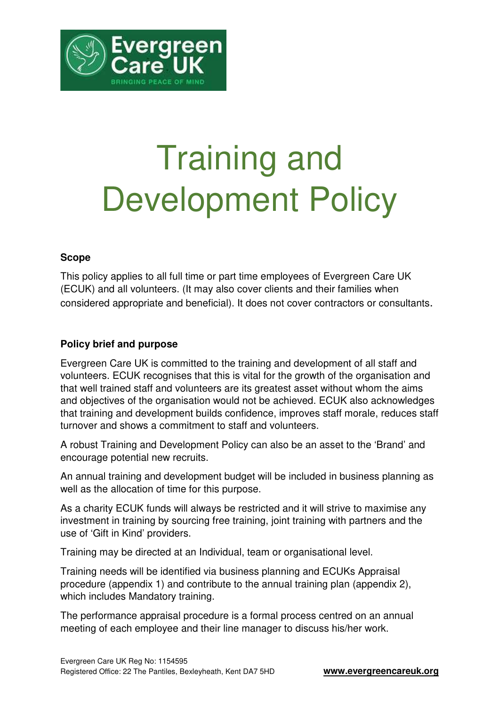

## Training and Development Policy

## **Scope**

This policy applies to all full time or part time employees of Evergreen Care UK (ECUK) and all volunteers. (It may also cover clients and their families when considered appropriate and beneficial). It does not cover contractors or consultants.

## **Policy brief and purpose**

Evergreen Care UK is committed to the training and development of all staff and volunteers. ECUK recognises that this is vital for the growth of the organisation and that well trained staff and volunteers are its greatest asset without whom the aims and objectives of the organisation would not be achieved. ECUK also acknowledges that training and development builds confidence, improves staff morale, reduces staff turnover and shows a commitment to staff and volunteers.

A robust Training and Development Policy can also be an asset to the 'Brand' and encourage potential new recruits.

An annual training and development budget will be included in business planning as well as the allocation of time for this purpose.

As a charity ECUK funds will always be restricted and it will strive to maximise any investment in training by sourcing free training, joint training with partners and the use of 'Gift in Kind' providers.

Training may be directed at an Individual, team or organisational level.

Training needs will be identified via business planning and ECUKs Appraisal procedure (appendix 1) and contribute to the annual training plan (appendix 2), which includes Mandatory training.

The performance appraisal procedure is a formal process centred on an annual meeting of each employee and their line manager to discuss his/her work.